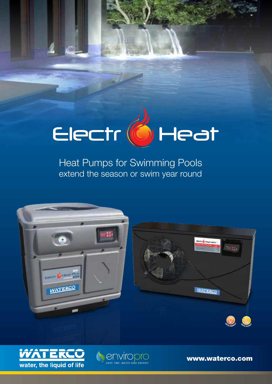# Electr (6) Heat

Heat Pumps for Swimming Pools extend the season or swim year round



*<u>A</u>* enviropro



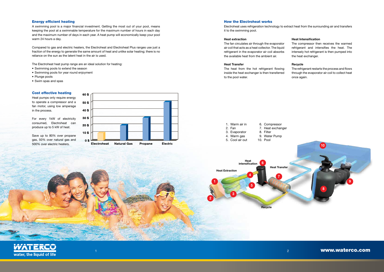# www.waterco.com



# **Heat extraction**

The fan circulates air through the evaporator air coil that acts as a heat collector. The liquid refrigerant in the evaporator air coil absorbs the available heat from the ambient air.

# **Heat Transfer**

The heat from the hot refrigerant flowing inside the heat exchanger is then transferred to the pool water.

# **Heat Intensification**

The compressor then receives the warmed refrigerant and intensifies the heat. The intensely hot refrigerant is then pumped into the heat exchanger.

# **Recycle**

The refrigerant restarts the process and flows through the evaporator air coil to collect heat once again.

| <b>How the Electroheat works</b> |  |  |  |  |
|----------------------------------|--|--|--|--|
|----------------------------------|--|--|--|--|

Electroheat uses refrigeration technology to extract heat from the surrounding air and transfers it to the swimming pool.

# Cost effective heating

Heat pumps only require energy to operate a compressor and a fan motor, using low amperage in the process.

For every 1kW of electricity consumed, Electroheat can produce up to 5 kW of heat.

Save up to 80% over propane gas, 50% over natural gas and 500% over electric heaters.



# Energy efficient heating

A swimming pool is a major financial investment. Getting the most out of your pool, means keeping the pool at a swimmable temperature for the maximum number of hours in each day and the maximum number of days in each year. A heat pump will economically keep your pool warm 24 hours a day.

Compared to gas and electric heaters, the Electroheat and Electroheat Plus ranges use just a fraction of the energy to generate the same amount of heat and unlike solar heating; there is no reliance on the sun as the latent heat in the air is used.

The Electroheat heat pump range are an ideal solution for heating:

- Swimming pools to extend the season
- Swimming pools for year round enjoyment
- Plunge pools
- Swim spas and spas

| 1. Warm air in  | 6.  |
|-----------------|-----|
| 2. Fan          | 7   |
| 3. Evaporator   | 8.  |
| 4. Warm gas     | 9.  |
| 5. Cool air out | 10. |

- **Compressor**
- Heat exchanger

**Filter** 

- Water Pump
- Pool
- 1 2 3 4 5 6 7 Heat Extraction Heat intensification Heat Transfer **Recycle**

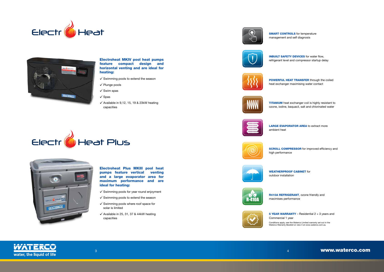



# Electroheat MKIV pool heat pumps feature compact design and horizontal venting and are ideal for heating:

- $\checkmark$  Swimming pools to extend the season
- $\checkmark$  Plunge pools
- $\checkmark$  Swim spas
- $\checkmark$  Spas
- $\checkmark$  Available in 9,12, 15, 19 & 23kW heating capacities





- $\checkmark$  Swimming pools for year round enjoyment
- $\checkmark$  Swimming pools to extend the season
- $\checkmark$  Swimming pools where roof space for solar is limited
- $\checkmark$  Available in 25, 31, 37 & 44kW heating capacities











Electroheat Plus MKIII pool heat pumps feature vertical venting and a large evaporator area for maximum performance and are ideal for heating:

5 YEAR WARRANTY – Residential 2 + 3 years and

**TITANIUM** heat exchanger coil is highly resistant to ozone, iodine, baquacil, salt and chlorinated water



Commercial 1 year



Conditions apply, see the Waterco Limited warranty set out in the Waterco Warranty Booklet or view it at www.waterco.com.au

 $\frac{3}{4}$  www.waterco.com



high performance

INBUILT SAFETY DEVICES for water flow, refrigerant level and compressor startup delay

LARGE EVAPORATOR AREA to extract more

**SCROLL COMPRESSOR** for improved efficiency and

R410A REFRIGERANT, ozone friendly and



ambient heat

POWERFUL HEAT TRANSFER through the coiled heat exchanger maximising water contact

SMART CONTROLS for temperature management and self diagnosis



maximises performance



WEATHERPROOF CABINET for outdoor installation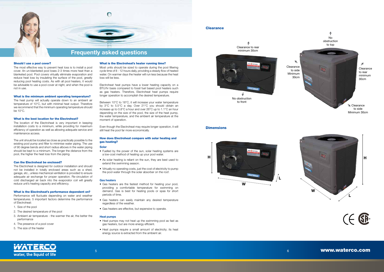#### What is the Electroheat's heater running time?

Most units should be sized to operate during the pool filtering cycle time of 8 - 12 hours daily, providing a steady flow of heated water. On warmer days the heater will run less because the heat loss will be less.

Electroheat heat pumps have a lower heating capacity on a BTU/hr basis compared to fossil fuel based pool heaters such as gas heaters. Therefore, Electroheat heat pumps require longer operation to accomplish the desired temperature.

Between 10°C to 18°C, it will increase your water temperature by 3°C to 5.5°C a day. Over 21°C you should obtain an increase up to 0.8°C a hour and over 26°C up to 1.1°C an hour depending on the size of the pool, the size of the heat pump, the water temperature, and the ambient air temperature at the moment of operation.

Even though the Electroheat may require longer operation, it will still heat the pool far more economically.

## How does Electroheat compare with solar heating and gas heating?

#### **Solar**

- Fuelled by the power of the sun, solar heating systems are a low-cost method of heating up your pool water.
- As solar heating is reliant on the sun, they are best used to extend the swimming season.
- Virtually no operating costs, just the cost of electricity to pump the pool water through the solar absorber on the roof.

#### **Gas heaters**

- Gas heaters are the fastest method for heating your pool, providing a comfortable temperature for swimming on demand. Gas is best for heating pools or spas for short periods of time.
- Gas heaters can easily maintain any desired temperature regardless of the weather.
- Gas heaters are effective, but expensive to operate.

#### **Heat pumps**

- Heat pumps may not heat up the swimming pool as fast as gas heaters, but are more energy efficient.
- Heat pumps require a small amount of electricity; its heat energy source is extracted from the ambient air.

#### **Clearance**

#### Should I use a pool cover?

The most effective way to prevent heat loss is to install a pool cover. An un-blanketed pool loses 2-3 times more heat than a blanketed pool. Pool covers virtually eliminate evaporation and reduce heat loss by insulating the surface of the pool, greatly reducing pool heating costs. As with all pool heaters, it would be advisable to use a pool cover at night, and when the pool is not in use.

#### What is the minimum ambient operating temperature?

The heat pump will actually operate down to an ambient air temperature of 10°C, but with minimal heat output. Therefore we recommend that the minimum operating temperature should be 10°C.

## What is the best location for the Electroheat?

The location of the Electroheat is very important in keeping installation costs to a minimum, while providing for maximum efficiency of operation as well as allowing adequate service and maintenance access.

The unit should be located as close as practically possible to the existing pool pump and filter to minimise water piping. The use of 90 degree bends and short radius elbows in the water piping should be kept to a minimum. The longer the distance from the pool, the higher the heat loss from the piping.

## Can the Electroheat be enclosed?

The Electroheat is designed for outdoor installation and should not be installed in totally enclosed areas such as a shed, garage, etc., unless mechanical ventilation is provided to ensure adequate air exchange for proper operation. Re-circulation of cold discharged air back into the evaporator coil will greatly reduce unit's heating capacity and efficiency.

#### What is the Electroheat's performance dependent on?

Performance will fluctuate depending on water and weather temperatures. 5 important factors determine the performance of Electroheat:

- 1. Size of the pool
- 2. The desired temperature of the pool
- 3. Ambient air temperature the warmer the air, the better the performance
- 4. The presence of a pool cover
- 5. The size of the heater



Clearance to rear minimum 30cm







to front

#### **Dimensions**



 $\frac{1}{5}$  by the contract of the contract of the contract of the contract of the contract of the contract of the contract of the contract of the contract of the contract of the contract of the contract of the contract of